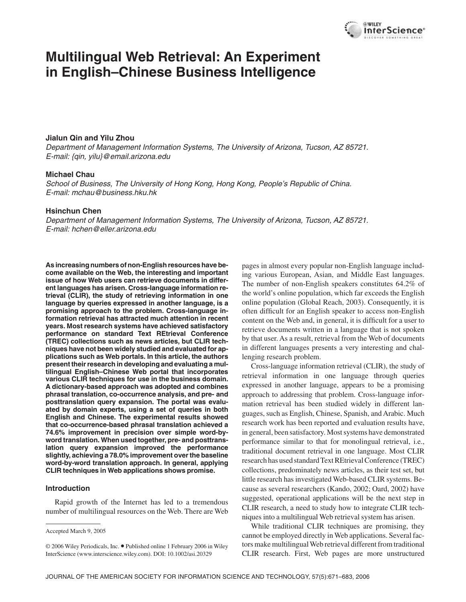

# **Multilingual Web Retrieval: An Experiment in English–Chinese Business Intelligence**

# **Jialun Qin and Yilu Zhou**

Department of Management Information Systems, The University of Arizona, Tucson, AZ 85721. E-mail: {qin, yilu}@email.arizona.edu

# **Michael Chau**

School of Business, The University of Hong Kong, Hong Kong, People's Republic of China. E-mail: mchau@business.hku.hk

## **Hsinchun Chen**

Department of Management Information Systems, The University of Arizona, Tucson, AZ 85721. E-mail: hchen@eller.arizona.edu

**As increasing numbers of non-English resources have become available on the Web, the interesting and important issue of how Web users can retrieve documents in different languages has arisen. Cross-language information retrieval (CLIR), the study of retrieving information in one language by queries expressed in another language, is a promising approach to the problem. Cross-language information retrieval has attracted much attention in recent years. Most research systems have achieved satisfactory performance on standard Text REtrieval Conference** (TREC) collections such as news articles, but CLIR tech**niques have not been widely studied and evaluated for applications such as Web portals. In this article, the authors present their research in developing and evaluating a multilingual English–Chinese Web portal that incorporates various CLIR techniques for use in the business domain. A dictionary-based approach was adopted and combines phrasal translation, co-occurrence analysis, and pre- and posttranslation query expansion. The portal was evaluated by domain experts, using a set of queries in both English and Chinese. The experimental results showed that co-occurrence-based phrasal translation achieved a 74.6% improvement in precision over simple word-byword translation. When used together, pre- and posttranslation query expansion improved the performance slightly, achieving a 78.0% improvement over the baseline word-by-word translation approach. In general, applying CLIR techniques in Web applications shows promise.**

# **Introduction**

Rapid growth of the Internet has led to a tremendous number of multilingual resources on the Web. There are Web pages in almost every popular non-English language including various European, Asian, and Middle East languages. The number of non-English speakers constitutes 64.2% of the world's online population, which far exceeds the English online population (Global Reach, 2003). Consequently, it is often difficult for an English speaker to access non-English content on the Web and, in general, it is difficult for a user to retrieve documents written in a language that is not spoken by that user. As a result, retrieval from the Web of documents in different languages presents a very interesting and challenging research problem.

Cross-language information retrieval (CLIR), the study of retrieval information in one language through queries expressed in another language, appears to be a promising approach to addressing that problem. Cross-language information retrieval has been studied widely in different languages, such as English, Chinese, Spanish, and Arabic. Much research work has been reported and evaluation results have, in general, been satisfactory. Most systems have demonstrated performance similar to that for monolingual retrieval, i.e., traditional document retrieval in one language. Most CLIR research has used standardText REtrieval Conference (TREC) collections, predominately news articles, as their test set, but little research has investigated Web-based CLIR systems. Because as several researchers (Kando, 2002; Oard, 2002) have suggested, operational applications will be the next step in CLIR research, a need to study how to integrate CLIR techniques into a multilingual Web retrieval system has arisen.

While traditional CLIR techniques are promising, they cannot be employed directly in Web applications. Several factors make multilingual Web retrieval different from traditional CLIR research. First, Web pages are more unstructured

Accepted March 9, 2005

<sup>© 2006</sup> Wiley Periodicals, Inc. • Published online 1 February 2006 in Wiley InterScience (www.interscience.wiley.com). DOI: 10.1002/asi.20329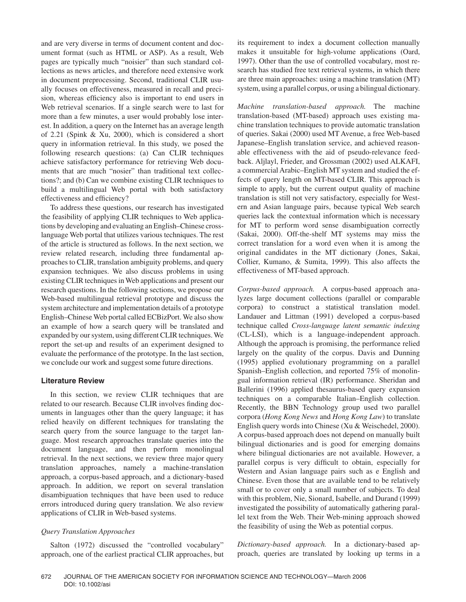and are very diverse in terms of document content and document format (such as HTML or ASP). As a result, Web pages are typically much "noisier" than such standard collections as news articles, and therefore need extensive work in document preprocessing. Second, traditional CLIR usually focuses on effectiveness, measured in recall and precision, whereas efficiency also is important to end users in Web retrieval scenarios. If a single search were to last for more than a few minutes, a user would probably lose interest. In addition, a query on the Internet has an average length of 2.21 (Spink & Xu, 2000), which is considered a short query in information retrieval. In this study, we posed the following research questions: (a) Can CLIR techniques achieve satisfactory performance for retrieving Web documents that are much "nosier" than traditional text collections?; and (b) Can we combine existing CLIR techniques to build a multilingual Web portal with both satisfactory effectiveness and efficiency?

To address these questions, our research has investigated the feasibility of applying CLIR techniques to Web applications by developing and evaluating an English–Chinese crosslanguage Web portal that utilizes various techniques. The rest of the article is structured as follows. In the next section, we review related research, including three fundamental approaches to CLIR, translation ambiguity problems, and query expansion techniques. We also discuss problems in using existing CLIR techniques in Web applications and present our research questions. In the following sections, we propose our Web-based multilingual retrieval prototype and discuss the system architecture and implementation details of a prototype English–Chinese Web portal called ECBizPort. We also show an example of how a search query will be translated and expanded by our system, using different CLIR techniques. We report the set-up and results of an experiment designed to evaluate the performance of the prototype. In the last section, we conclude our work and suggest some future directions.

# **Literature Review**

In this section, we review CLIR techniques that are related to our research. Because CLIR involves finding documents in languages other than the query language; it has relied heavily on different techniques for translating the search query from the source language to the target language. Most research approaches translate queries into the document language, and then perform monolingual retrieval. In the next sections, we review three major query translation approaches, namely a machine-translation approach, a corpus-based approach, and a dictionary-based approach. In addition, we report on several translation disambiguation techniques that have been used to reduce errors introduced during query translation. We also review applications of CLIR in Web-based systems.

# *Query Translation Approaches*

Salton (1972) discussed the "controlled vocabulary" approach, one of the earliest practical CLIR approaches, but its requirement to index a document collection manually makes it unsuitable for high-volume applications (Oard, 1997). Other than the use of controlled vocabulary, most research has studied free text retrieval systems, in which there are three main approaches: using a machine translation (MT) system, using a parallel corpus, or using a bilingual dictionary.

*Machine translation-based approach.* The machine translation-based (MT-based) approach uses existing machine translation techniques to provide automatic translation of queries. Sakai (2000) used MT Avenue, a free Web-based Japanese–English translation service, and achieved reasonable effectiveness with the aid of pseudo-relevance feedback. Aljlayl, Frieder, and Grossman (2002) used ALKAFI, a commercial Arabic–English MT system and studied the effects of query length on MT-based CLIR. This approach is simple to apply, but the current output quality of machine translation is still not very satisfactory, especially for Western and Asian language pairs, because typical Web search queries lack the contextual information which is necessary for MT to perform word sense disambiguation correctly (Sakai, 2000). Off-the-shelf MT systems may miss the correct translation for a word even when it is among the original candidates in the MT dictionary (Jones, Sakai, Collier, Kumano, & Sumita, 1999). This also affects the effectiveness of MT-based approach.

*Corpus-based approach.* A corpus-based approach analyzes large document collections (parallel or comparable corpora) to construct a statistical translation model. Landauer and Littman (1991) developed a corpus-based technique called *Cross-language latent semantic indexing* (CL-LSI), which is a language-independent approach. Although the approach is promising, the performance relied largely on the quality of the corpus. Davis and Dunning (1995) applied evolutionary programming on a parallel Spanish–English collection, and reported 75% of monolingual information retrieval (IR) performance. Sheridan and Ballerini (1996) applied thesaurus-based query expansion techniques on a comparable Italian–English collection. Recently, the BBN Technology group used two parallel corpora (*Hong Kong News* and *Hong Kong Law*) to translate English query words into Chinese (Xu & Weischedel, 2000). A corpus-based approach does not depend on manually built bilingual dictionaries and is good for emerging domains where bilingual dictionaries are not available. However, a parallel corpus is very difficult to obtain, especially for Western and Asian language pairs such as e English and Chinese. Even those that are available tend to be relatively small or to cover only a small number of subjects. To deal with this problem, Nie, Sionard, Isabelle, and Durand (1999) investigated the possibility of automatically gathering parallel text from the Web. Their Web-mining approach showed the feasibility of using the Web as potential corpus.

*Dictionary-based approach.* In a dictionary-based approach, queries are translated by looking up terms in a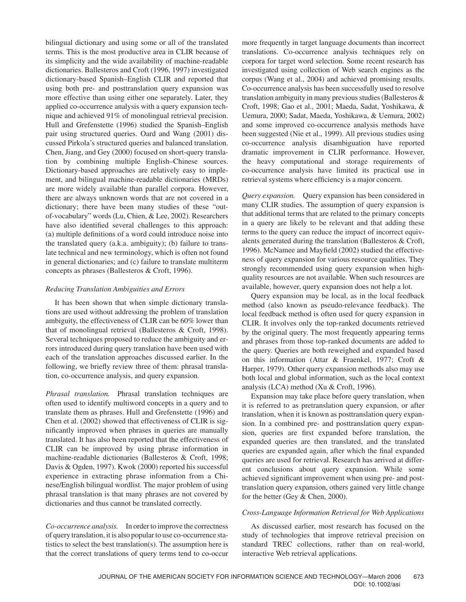bilingual dictionary and using some or all of the translated terms. This is the most productive area in CLIR because of its simplicity and the wide availability of machine-readable dictionaries. Ballesteros and Croft (1996, 1997) investigated dictionary-based Spanish–English CLIR and reported that using both pre- and posttranslation query expansion was more effective than using either one separately. Later, they applied co-occurrence analysis with a query expansion technique and achieved 91% of monolingual retrieval precision. Hull and Grefenstette (1996) studied the Spanish–English pair using structured queries. Oard and Wang (2001) discussed Pirkola's structured queries and balanced translation. Chen, Jiang, and Gey (2000) focused on short-query translation by combining multiple English–Chinese sources. Dictionary-based approaches are relatively easy to implement, and bilingual machine-readable dictionaries (MRDs) are more widely available than parallel corpora. However, there are always unknown words that are not covered in a dictionary; there have been many studies of these "outof-vocabulary" words (Lu, Chien, & Lee, 2002). Researchers have also identified several challenges to this approach: (a) multiple definitions of a word could introduce noise into the translated query (a.k.a. ambiguity); (b) failure to translate technical and new terminology, which is often not found in general dictionaries; and (c) failure to translate multiterm concepts as phrases (Ballesteros & Croft, 1996).

# *Reducing Translation Ambiguities and Errors*

It has been shown that when simple dictionary translations are used without addressing the problem of translation ambiguity, the effectiveness of CLIR can be 60% lower than that of monolingual retrieval (Ballesteros & Croft, 1998). Several techniques proposed to reduce the ambiguity and errors introduced during query translation have been used with each of the translation approaches discussed earlier. In the following, we briefly review three of them: phrasal translation, co-occurrence analysis, and query expansion.

*Phrasal translation.* Phrasal translation techniques are often used to identify multiword concepts in a query and to translate them as phrases. Hull and Grefenstette (1996) and Chen et al. (2002) showed that effectiveness of CLIR is significantly improved when phrases in queries are manually translated. It has also been reported that the effectiveness of CLIR can be improved by using phrase information in machine-readable dictionaries (Ballesteros & Croft, 1998; Davis & Ogden, 1997). Kwok (2000) reported his successful experience in extracting phrase information from a Chinese/English bilingual wordlist. The major problem of using phrasal translation is that many phrases are not covered by dictionaries and thus cannot be translated correctly.

*Co-occurrence analysis.* In order to improve the correctness of query translation, it is also popular to use co-occurrence statistics to select the best translation(s). The assumption here is that the correct translations of query terms tend to co-occur

more frequently in target language documents than incorrect translations. Co-occurrence analysis techniques rely on corpora for target word selection. Some recent research has investigated using collection of Web search engines as the corpus (Wang et al., 2004) and achieved promising results. Co-occurrence analysis has been successfully used to resolve translation ambiguity in many previous studies (Ballesteros & Croft, 1998; Gao et al., 2001; Maeda, Sadat, Yoshikawa, & Uemura, 2000; Sadat, Maeda, Yoshikawa, & Uemura, 2002) and some improved co-occurrence analysis methods have been suggested (Nie et al., 1999). All previous studies using co-occurrence analysis disambiguation have reported dramatic improvement in CLIR performance. However, the heavy computational and storage requirements of co-occurrence analysis have limited its practical use in retrieval systems where efficiency is a major concern.

*Query expansion.* Query expansion has been considered in many CLIR studies. The assumption of query expansion is that additional terms that are related to the primary concepts in a query are likely to be relevant and that adding these terms to the query can reduce the impact of incorrect equivalents generated during the translation (Ballesteros & Croft, 1996). McNamee and Mayfield (2002) studied the effectiveness of query expansion for various resource qualities. They strongly recommended using query expansion when highquality resources are not available. When such resources are available, however, query expansion does not help a lot.

Query expansion may be local, as in the local feedback method (also known as pseudo-relevance feedback). The local feedback method is often used for query expansion in CLIR. It involves only the top-ranked documents retrieved by the original query. The most frequently appearing terms and phrases from those top-ranked documents are added to the query. Queries are both reweighed and expanded based on this information (Attar & Fraenkel, 1977; Croft & Harper, 1979). Other query expansion methods also may use both local and global information, such as the local context analysis (LCA) method (Xu & Croft, 1996).

Expansion may take place before query translation, when it is referred to as pretranslation query expansion, or after translation, when it is known as posttranslation query expansion. In a combined pre- and posttranslation query expansion, queries are first expanded before translation, the expanded queries are then translated, and the translated queries are expanded again, after which the final expanded queries are used for retrieval. Research has arrived at different conclusions about query expansion. While some achieved significant improvement when using pre- and posttranslation query expansion, others gained very little change for the better (Gey & Chen, 2000).

# *Cross-Language Information Retrieval for Web Applications*

As discussed earlier, most research has focused on the study of technologies that improve retrieval precision on standard TREC collections, rather than on real-world, interactive Web retrieval applications.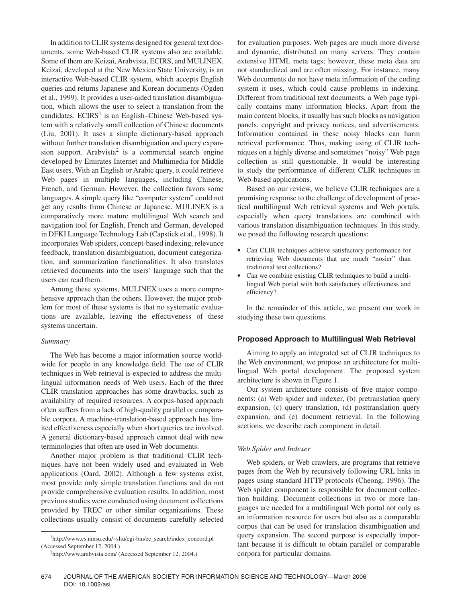In addition to CLIR systems designed for general text documents, some Web-based CLIR systems also are available. Some of them are Keizai, Arabvista, ECIRS, and MULINEX. Keizai, developed at the New Mexico State University, is an interactive Web-based CLIR system, which accepts English queries and returns Japanese and Korean documents (Ogden et al., 1999). It provides a user-aided translation disambiguation, which allows the user to select a translation from the candidates.  $ECIRS<sup>1</sup>$  is an English–Chinese Web-based system with a relatively small collection of Chinese documents (Liu, 2001). It uses a simple dictionary-based approach without further translation disambiguation and query expansion support. Arabvista<sup>2</sup> is a commercial search engine developed by Emirates Internet and Multimedia for Middle East users. With an English or Arabic query, it could retrieve Web pages in multiple languages, including Chinese, French, and German. However, the collection favors some languages. A simple query like "computer system" could not get any results from Chinese or Japanese. MULINEX is a comparatively more mature multilingual Web search and navigation tool for English, French and German, developed in DFKI Language Technology Lab (Capstick et al., 1998). It incorporates Web spiders, concept-based indexing, relevance feedback, translation disambiguation, document categorization, and summarization functionalities. It also translates retrieved documents into the users' language such that the users can read them.

Among these systems, MULINEX uses a more comprehensive approach than the others. However, the major problem for most of these systems is that no systematic evaluations are available, leaving the effectiveness of these systems uncertain.

#### *Summary*

The Web has become a major information source worldwide for people in any knowledge field. The use of CLIR techniques in Web retrieval is expected to address the multilingual information needs of Web users. Each of the three CLIR translation approaches has some drawbacks, such as availability of required resources. A corpus-based approach often suffers from a lack of high-quality parallel or comparable corpora. A machine-translation-based approach has limited effectiveness especially when short queries are involved. A general dictionary-based approach cannot deal with new terminologies that often are used in Web documents.

Another major problem is that traditional CLIR techniques have not been widely used and evaluated in Web applications (Oard, 2002). Although a few systems exist, most provide only simple translation functions and do not provide comprehensive evaluation results. In addition, most previous studies were conducted using document collections provided by TREC or other similar organizations. These collections usually consist of documents carefully selected for evaluation purposes. Web pages are much more diverse and dynamic, distributed on many servers. They contain extensive HTML meta tags; however, these meta data are not standardized and are often missing. For instance, many Web documents do not have meta information of the coding system it uses, which could cause problems in indexing. Different from traditional text documents, a Web page typically contains many information blocks. Apart from the main content blocks, it usually has such blocks as navigation panels, copyright and privacy notices, and advertisements. Information contained in these noisy blocks can harm retrieval performance. Thus, making using of CLIR techniques on a highly diverse and sometimes "noisy" Web page collection is still questionable. It would be interesting to study the performance of different CLIR techniques in Web-based applications.

Based on our review, we believe CLIR techniques are a promising response to the challenge of development of practical multilingual Web retrieval systems and Web portals, especially when query translations are combined with various translation disambiguation techniques. In this study, we posed the following research questions:

- Can CLIR techniques achieve satisfactory performance for retrieving Web documents that are much "nosier" than traditional text collections?
- Can we combine existing CLIR techniques to build a multilingual Web portal with both satisfactory effectiveness and efficiency?

In the remainder of this article, we present our work in studying these two questions.

### **Proposed Approach to Multilingual Web Retrieval**

Aiming to apply an integrated set of CLIR techniques to the Web environment, we propose an architecture for multilingual Web portal development. The proposed system architecture is shown in Figure 1.

Our system architecture consists of five major components: (a) Web spider and indexer, (b) pretranslation query expansion, (c) query translation, (d) posttranslation query expansion, and (e) document retrieval. In the following sections, we describe each component in detail.

#### *Web Spider and Indexer*

Web spiders, or Web crawlers, are programs that retrieve pages from the Web by recursively following URL links in pages using standard HTTP protocols (Cheong, 1996). The Web spider component is responsible for document collection building. Document collections in two or more languages are needed for a multilingual Web portal not only as an information resource for users but also as a comparable corpus that can be used for translation disambiguation and query expansion. The second purpose is especially important because it is difficult to obtain parallel or comparable corpora for particular domains.

<sup>1</sup> http://www.cs.nmsu.edu/~sliu/cgi-bin/ec\_search/index\_concord.pl (Accessed September 12, 2004.)

<sup>&</sup>lt;sup>2</sup>http://www.arabvista.com/ (Accessed September 12, 2004.)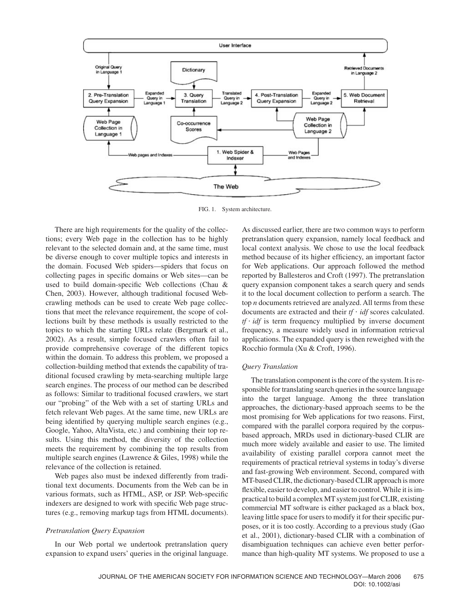

FIG. 1. System architecture.

There are high requirements for the quality of the collections; every Web page in the collection has to be highly relevant to the selected domain and, at the same time, must be diverse enough to cover multiple topics and interests in the domain. Focused Web spiders—spiders that focus on collecting pages in specific domains or Web sites—can be used to build domain-specific Web collections (Chau & Chen, 2003). However, although traditional focused Webcrawling methods can be used to create Web page collections that meet the relevance requirement, the scope of collections built by these methods is usually restricted to the topics to which the starting URLs relate (Bergmark et al., 2002). As a result, simple focused crawlers often fail to provide comprehensive coverage of the different topics within the domain. To address this problem, we proposed a collection-building method that extends the capability of traditional focused crawling by meta-searching multiple large search engines. The process of our method can be described as follows: Similar to traditional focused crawlers, we start our "probing" of the Web with a set of starting URLs and fetch relevant Web pages. At the same time, new URLs are being identified by querying multiple search engines (e.g., Google, Yahoo, AltaVista, etc.) and combining their top results. Using this method, the diversity of the collection meets the requirement by combining the top results from multiple search engines (Lawrence & Giles, 1998) while the relevance of the collection is retained.

Web pages also must be indexed differently from traditional text documents. Documents from the Web can be in various formats, such as HTML, ASP, or JSP. Web-specific indexers are designed to work with specific Web page structures (e.g., removing markup tags from HTML documents).

## *Pretranslation Query Expansion*

In our Web portal we undertook pretranslation query expansion to expand users' queries in the original language. As discussed earlier, there are two common ways to perform pretranslation query expansion, namely local feedback and local context analysis. We chose to use the local feedback method because of its higher efficiency, an important factor for Web applications. Our approach followed the method reported by Ballesteros and Croft (1997). The pretranslation query expansion component takes a search query and sends it to the local document collection to perform a search. The top *n* documents retrieved are analyzed. All terms from these documents are extracted and their  $tf \cdot idf$  scores calculated.  $tf \cdot idf$  is term frequency multiplied by inverse document frequency, a measure widely used in information retrieval applications. The expanded query is then reweighed with the Rocchio formula (Xu & Croft, 1996).

#### *Query Translation*

The translation component is the core of the system. It is responsible for translating search queries in the source language into the target language. Among the three translation approaches, the dictionary-based approach seems to be the most promising for Web applications for two reasons. First, compared with the parallel corpora required by the corpusbased approach, MRDs used in dictionary-based CLIR are much more widely available and easier to use. The limited availability of existing parallel corpora cannot meet the requirements of practical retrieval systems in today's diverse and fast-growing Web environment. Second, compared with MT-based CLIR, the dictionary-based CLIR approach is more flexible, easier to develop, and easier to control. While it is impractical to build a complex MT system just for CLIR, existing commercial MT software is either packaged as a black box, leaving little space for users to modify it for their specific purposes, or it is too costly. According to a previous study (Gao et al., 2001), dictionary-based CLIR with a combination of disambiguation techniques can achieve even better performance than high-quality MT systems. We proposed to use a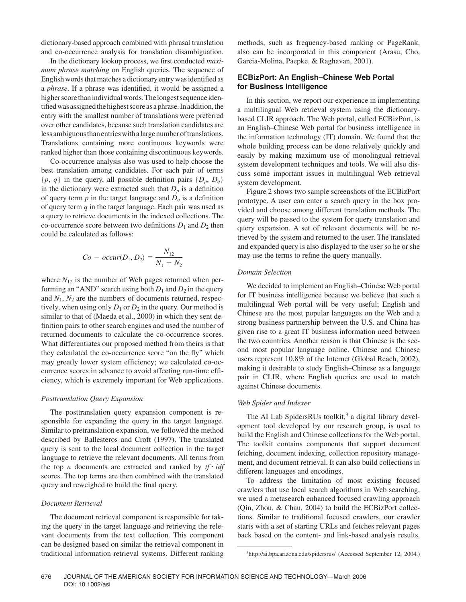dictionary-based approach combined with phrasal translation and co-occurrence analysis for translation disambiguation.

In the dictionary lookup process, we first conducted *maximum phrase matching* on English queries. The sequence of English words that matches a dictionary entry was identified as a *phrase*. If a phrase was identified, it would be assigned a higher score than individual words. The longest sequence identified was assigned the highest score as a phrase. In addition, the entry with the smallest number of translations were preferred over other candidates, because such translation candidates are lessambiguousthanentrieswithalargenumberoftranslations. Translations containing more continuous keywords were ranked higher than those containing discontinuous keywords.

Co-occurrence analysis also was used to help choose the best translation among candidates. For each pair of terms  $\{p, q\}$  in the query, all possible definition pairs  $\{D_p, D_q\}$ in the dictionary were extracted such that  $D_p$  is a definition of query term  $p$  in the target language and  $D_q$  is a definition of query term *q* in the target language. Each pair was used as a query to retrieve documents in the indexed collections. The co-occurrence score between two definitions  $D_1$  and  $D_2$  then could be calculated as follows:

$$
Co - occur(D_1, D_2) = \frac{N_{12}}{N_1 + N_2}
$$

where  $N_{12}$  is the number of Web pages returned when performing an "AND" search using both  $D_1$  and  $D_2$  in the query and  $N_1$ ,  $N_2$  are the numbers of documents returned, respectively, when using only  $D_1$  or  $D_2$  in the query. Our method is similar to that of (Maeda et al., 2000) in which they sent definition pairs to other search engines and used the number of returned documents to calculate the co-occurrence scores. What differentiates our proposed method from theirs is that they calculated the co-occurrence score "on the fly" which may greatly lower system efficiency; we calculated co-occurrence scores in advance to avoid affecting run-time efficiency, which is extremely important for Web applications.

#### *Posttranslation Query Expansion*

The posttranslation query expansion component is responsible for expanding the query in the target language. Similar to pretranslation expansion, we followed the method described by Ballesteros and Croft (1997). The translated query is sent to the local document collection in the target language to retrieve the relevant documents. All terms from the top *n* documents are extracted and ranked by  $tf \cdot idf$ scores. The top terms are then combined with the translated query and reweighed to build the final query.

#### *Document Retrieval*

The document retrieval component is responsible for taking the query in the target language and retrieving the relevant documents from the text collection. This component can be designed based on similar the retrieval component in traditional information retrieval systems. Different ranking methods, such as frequency-based ranking or PageRank, also can be incorporated in this component (Arasu, Cho, Garcia-Molina, Paepke, & Raghavan, 2001).

# **ECBizPort: An English–Chinese Web Portal for Business Intelligence**

In this section, we report our experience in implementing a multilingual Web retrieval system using the dictionarybased CLIR approach. The Web portal, called ECBizPort, is an English–Chinese Web portal for business intelligence in the information technology (IT) domain. We found that the whole building process can be done relatively quickly and easily by making maximum use of monolingual retrieval system development techniques and tools. We will also discuss some important issues in multilingual Web retrieval system development.

Figure 2 shows two sample screenshots of the ECBizPort prototype. A user can enter a search query in the box provided and choose among different translation methods. The query will be passed to the system for query translation and query expansion. A set of relevant documents will be retrieved by the system and returned to the user. The translated and expanded query is also displayed to the user so he or she may use the terms to refine the query manually.

#### *Domain Selection*

We decided to implement an English–Chinese Web portal for IT business intelligence because we believe that such a multilingual Web portal will be very useful; English and Chinese are the most popular languages on the Web and a strong business partnership between the U.S. and China has given rise to a great IT business information need between the two countries. Another reason is that Chinese is the second most popular language online. Chinese and Chinese users represent 10.8% of the Internet (Global Reach, 2002), making it desirable to study English–Chinese as a language pair in CLIR, where English queries are used to match against Chinese documents.

#### *Web Spider and Indexer*

The AI Lab SpidersRUs toolkit, $3$  a digital library development tool developed by our research group, is used to build the English and Chinese collections for the Web portal. The toolkit contains components that support document fetching, document indexing, collection repository management, and document retrieval. It can also build collections in different languages and encodings.

To address the limitation of most existing focused crawlers that use local search algorithms in Web searching, we used a metasearch enhanced focused crawling approach (Qin, Zhou, & Chau, 2004) to build the ECBizPort collections. Similar to traditional focused crawlers, our crawler starts with a set of starting URLs and fetches relevant pages back based on the content- and link-based analysis results.

<sup>3</sup> http://ai.bpa.arizona.edu/spidersrus/ (Accessed September 12, 2004.)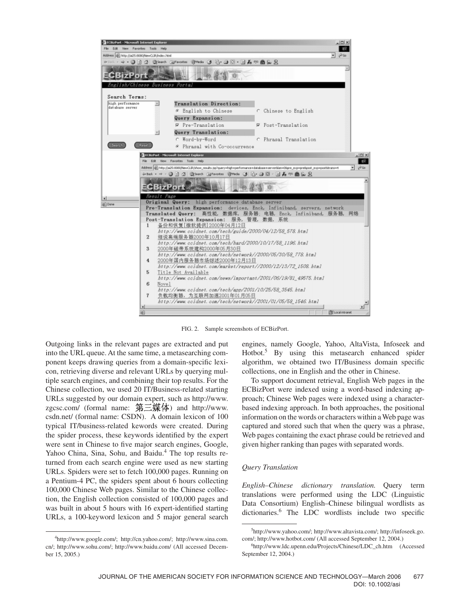

FIG. 2. Sample screenshots of ECBizPort.

Outgoing links in the relevant pages are extracted and put into the URL queue. At the same time, a metasearching component keeps drawing queries from a domain-specific lexicon, retrieving diverse and relevant URLs by querying multiple search engines, and combining their top results. For the Chinese collection, we used 20 IT/Business-related starting URLs suggested by our domain expert, such as http://www. zgcsc.com/ (formal name: 第三媒体) and http://www. csdn.net/ (formal name: CSDN). A domain lexicon of 100 typical IT/business-related kewords were created. During the spider process, these keywords identified by the expert were sent in Chinese to five major search engines, Google, Yahoo China, Sina, Sohu, and Baidu.<sup>4</sup> The top results returned from each search engine were used as new starting URLs. Spiders were set to fetch 100,000 pages. Running on a Pentium-4 PC, the spiders spent about 6 hours collecting 100,000 Chinese Web pages. Similar to the Chinese collection, the English collection consisted of 100,000 pages and was built in about 5 hours with 16 expert-identified starting URLs, a 100-keyword lexicon and 5 major general search

engines, namely Google, Yahoo, AltaVista, Infoseek and Hotbot.5 By using this metasearch enhanced spider algorithm, we obtained two IT/Business domain specific collections, one in English and the other in Chinese.

To support document retrieval, English Web pages in the ECBizPort were indexed using a word-based indexing approach; Chinese Web pages were indexed using a characterbased indexing approach. In both approaches, the positional information on the words or characters within a Web page was captured and stored such that when the query was a phrase, Web pages containing the exact phrase could be retrieved and given higher ranking than pages with separated words.

## *Query Translation*

*English–Chinese dictionary translation.* Query term translations were performed using the LDC (Linguistic Data Consortium) English–Chinese bilingual wordlists as dictionaries.6 The LDC wordlists include two specific

<sup>4</sup> http://www.google.com/; http://cn.yahoo.com/; http://www.sina.com. cn/; http://www.sohu.com/; http://www.baidu.com/ (All accessed December 15, 2005.)

<sup>5</sup> http://www.yahoo.com/; http://www.altavista.com/; http://infoseek.go. com/; http://www.hotbot.com/ (All accessed September 12, 2004.)

<sup>6</sup> http://www.ldc.upenn.edu/Projects/Chinese/LDC\_ch.htm (Accessed September 12, 2004.)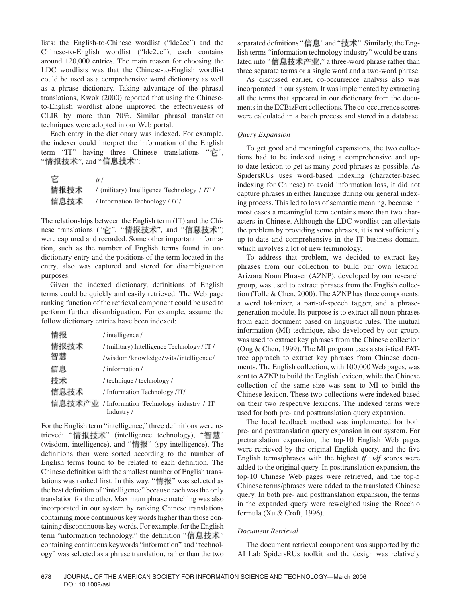lists: the English-to-Chinese wordlist ("ldc2ec") and the Chinese-to-English wordlist ("ldc2ce"), each contains around 120,000 entries. The main reason for choosing the LDC wordlists was that the Chinese-to-English wordlist could be used as a comprehensive word dictionary as well as a phrase dictionary. Taking advantage of the phrasal translations, Kwok (2000) reported that using the Chineseto-English wordlist alone improved the effectiveness of CLIR by more than 70%. Similar phrasal translation techniques were adopted in our Web portal.

Each entry in the dictionary was indexed. For example, the indexer could interpret the information of the English term "IT" having three Chinese translations "它", "情报技术", and "信息技术":

| 它    | it/                                         |
|------|---------------------------------------------|
| 情报技术 | / (military) Intelligence Technology / IT / |
| 信息技术 | / Information Technology / IT /             |

The relationships between the English term (IT) and the Chinese translations ("它", "情报技术", and "信息技术") were captured and recorded. Some other important information, such as the number of English terms found in one dictionary entry and the positions of the term located in the entry, also was captured and stored for disambiguation purposes.

Given the indexed dictionary, definitions of English terms could be quickly and easily retrieved. The Web page ranking function of the retrieval component could be used to perform further disambiguation. For example, assume the follow dictionary entries have been indexed:

| 情报   | / intelligence /                              |
|------|-----------------------------------------------|
| 情报技术 | / (military) Intelligence Technology / IT /   |
| 智慧   | /wisdom/knowledge/wits/intelligence/          |
| 信息   | / information /                               |
| 技术   | / technique / technology /                    |
| 信息技术 | / Information Technology /IT/                 |
|      | 信息技术产业 / Information Technology industry / IT |
|      | Industry/                                     |

For the English term "intelligence," three definitions were retrieved: "情报技术" (intelligence technology), "智慧" (wisdom, intelligence), and "情报" (spy intelligence). The definitions then were sorted according to the number of English terms found to be related to each definition. The Chinese definition with the smallest number of English translations was ranked first. In this way, "情报" was selected as the best definition of "intelligence" because each was the only translation for the other. Maximum phrase matching was also incorporated in our system by ranking Chinese translations containing more continuous key words higher than those containing discontinuous key words. For example, for the English term "information technology," the definition "信息技术" containing continuous keywords "information" and "technology" was selected as a phrase translation, rather than the two

separated definitions "信息" and "技术". Similarly, the English terms "information technology industry" would be translated into "信息技术产业," a three-word phrase rather than three separate terms or a single word and a two-word phrase.

As discussed earlier, co-occurrence analysis also was incorporated in our system. It was implemented by extracting all the terms that appeared in our dictionary from the documents in the ECBizPort collections. The co-occurrence scores were calculated in a batch process and stored in a database.

# *Query Expansion*

To get good and meaningful expansions, the two collections had to be indexed using a comprehensive and upto-date lexicon to get as many good phrases as possible. As SpidersRUs uses word-based indexing (character-based indexing for Chinese) to avoid information loss, it did not capture phrases in either language during our general indexing process. This led to loss of semantic meaning, because in most cases a meaningful term contains more than two characters in Chinese. Although the LDC wordlist can alleviate the problem by providing some phrases, it is not sufficiently up-to-date and comprehensive in the IT business domain, which involves a lot of new terminology.

To address that problem, we decided to extract key phrases from our collection to build our own lexicon. Arizona Noun Phraser (AZNP), developed by our research group, was used to extract phrases from the English collection (Tolle & Chen, 2000). The AZNP has three components: a word tokenizer, a part-of-speech tagger, and a phrasegeneration module. Its purpose is to extract all noun phrases from each document based on linguistic rules. The mutual information (MI) technique, also developed by our group, was used to extract key phrases from the Chinese collection (Ong & Chen, 1999). The MI program uses a statistical PATtree approach to extract key phrases from Chinese documents. The English collection, with 100,000 Web pages, was sent to AZNP to build the English lexicon, while the Chinese collection of the same size was sent to MI to build the Chinese lexicon. These two collections were indexed based on their two respective lexicons. The indexed terms were used for both pre- and posttranslation query expansion.

The local feedback method was implemented for both pre- and posttranslation query expansion in our system. For pretranslation expansion, the top-10 English Web pages were retrieved by the original English query, and the five English terms/phrases with the highest  $tf \cdot idf$  scores were added to the original query. In posttranslation expansion, the top-10 Chinese Web pages were retrieved, and the top-5 Chinese terms/phrases were added to the translated Chinese query. In both pre- and posttranslation expansion, the terms in the expanded query were reweighed using the Rocchio formula (Xu & Croft, 1996).

## *Document Retrieval*

The document retrieval component was supported by the AI Lab SpidersRUs toolkit and the design was relatively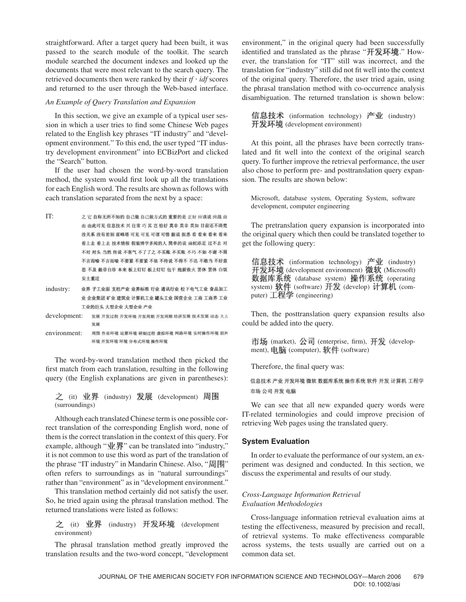straightforward. After a target query had been built, it was passed to the search module of the toolkit. The search module searched the document indexes and looked up the documents that were most relevant to the search query. The retrieved documents then were ranked by their  $tf \cdot idf$  scores and returned to the user through the Web-based interface.

## *An Example of Query Translation and Expansion*

In this section, we give an example of a typical user session in which a user tries to find some Chinese Web pages related to the English key phrases "IT industry" and "development environment." To this end, the user typed "IT industry development environment" into ECBizPort and clicked the "Search" button.

If the user had chosen the word-by-word translation method, the system would first look up all the translations for each English word. The results are shown as follows with each translation separated from the next by a space:

IT: 之 它 自称无所不知的 自己做 自己做方式的 重要的是 正好 应该说 应战 由 由 由此可见 信息技术 兴 往常 巧 其 岂 恰好 莫非 莫非 莫如 目前还不清楚 没关系 没有差别 雷峰塔 可见 可见 可谓 可惜 据说 据悉 看 看来 看来 看来 看上去 看上去 技术情报 假装博学多闻的人 简单的说 画蛇添足 过不去 对 不对 对头 当然 传说 不客气 不了了之 不买账 不买账 不巧 不如 不谢 不屑 不言而喻 不言而喻 不要紧 不要紧 不依 不待说 不得不 不迭 不敢当 不好意 思 不及 敝帚自珍 本来 板上钉钉 板上钉钉 包干 抱薪救火 罢休 罢休 白饭 安土重迁 业界 子工业面 支柱产业 业界标准 行业 通讯行业 松下电气工业 食品加工 industry: 业 企业集团 矿业 建筑业 计算机工业 罐头工业 国营企业 工商 工商界 工业

工业的巨头 大型企业 大型企业 产业 development: 发展 开发过程 开发环境 开发周期 开发周期 经济发展 技术发展 动态 大力 发展

environment: 周围 作业环境 运算环境 研制过程 虚拟环境 网路环境 实时操作环境 联网 环境 开发环境 环境 分布式环境 操作环境

The word-by-word translation method then picked the first match from each translation, resulting in the following query (the English explanations are given in parentheses):

之 (it) 业界 (industry) 发展 (development) 周围 (surroundings)

Although each translated Chinese term is one possible correct translation of the corresponding English word, none of them is the correct translation in the context of this query. For example, although "业界" can be translated into "industry," it is not common to use this word as part of the translation of the phrase "IT industry" in Mandarin Chinese. Also, "周围" often refers to surroundings as in "natural surroundings" rather than "environment" as in "development environment."

This translation method certainly did not satisfy the user. So, he tried again using the phrasal translation method. The returned translations were listed as follows:

之 (it) 业界 (industry) 开发环境 (development environment)

The phrasal translation method greatly improved the translation results and the two-word concept, "development environment," in the original query had been successfully identified and translated as the phrase "开发环境." However, the translation for "IT" still was incorrect, and the translation for "industry" still did not fit well into the context of the original query. Therefore, the user tried again, using the phrasal translation method with co-occurrence analysis disambiguation. The returned translation is shown below:

信息技术 (information technology) 产业 (industry) 开发环境 (development environment)

At this point, all the phrases have been correctly translated and fit well into the context of the original search query. To further improve the retrieval performance, the user also chose to perform pre- and posttranslation query expansion. The results are shown below:

Microsoft, database system, Operating System, software development, computer engineering

The pretranslation query expansion is incorporated into the original query which then could be translated together to get the following query:

信息技术 (information technology) 产业 (industry) 开发环境 (development environment) 微软 (Microsoft) 数据库系统 (database system) 操作系统 (operating system) 软件 (software) 开发 (develop) 计算机 (computer)  $\perp \vec{E}$  (engineering)

Then, the posttranslation query expansion results also could be added into the query.

市场 (market), 公司 (enterprise, firm), 开发 (development), 电脑 (computer), 软件 (software)

Therefore, the final query was:

信息技术 产业 开发环境 微软 数据库系统 操作系统 软件 开发 计算机 工程学 市场 公司 开发 电脑

We can see that all new expanded query words were IT-related terminologies and could improve precision of retrieving Web pages using the translated query.

# **System Evaluation**

In order to evaluate the performance of our system, an experiment was designed and conducted. In this section, we discuss the experimental and results of our study.

# *Cross-Language Information Retrieval Evaluation Methodologies*

Cross-language information retrieval evaluation aims at testing the effectiveness, measured by precision and recall, of retrieval systems. To make effectiveness comparable across systems, the tests usually are carried out on a common data set.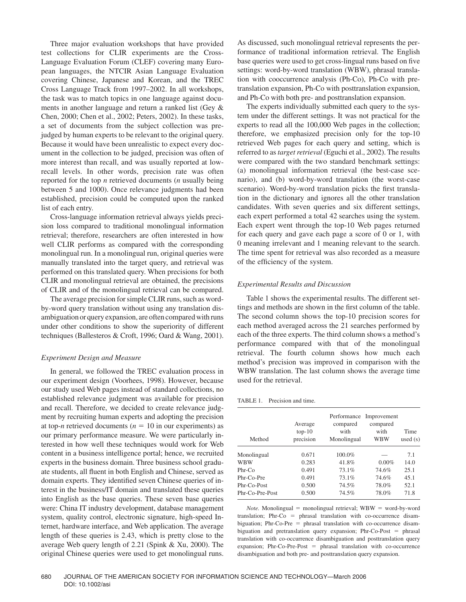Three major evaluation workshops that have provided test collections for CLIR experiments are the Cross-Language Evaluation Forum (CLEF) covering many European languages, the NTCIR Asian Language Evaluation covering Chinese, Japanese and Korean, and the TREC Cross Language Track from 1997–2002. In all workshops, the task was to match topics in one language against documents in another language and return a ranked list (Gey & Chen, 2000; Chen et al., 2002; Peters, 2002). In these tasks, a set of documents from the subject collection was prejudged by human experts to be relevant to the original query. Because it would have been unrealistic to expect every document in the collection to be judged, precision was often of more interest than recall, and was usually reported at lowrecall levels. In other words, precision rate was often reported for the top *n* retrieved documents (*n* usually being between 5 and 1000). Once relevance judgments had been established, precision could be computed upon the ranked list of each entry.

Cross-language information retrieval always yields precision loss compared to traditional monolingual information retrieval; therefore, researchers are often interested in how well CLIR performs as compared with the corresponding monolingual run. In a monolingual run, original queries were manually translated into the target query, and retrieval was performed on this translated query. When precisions for both CLIR and monolingual retrieval are obtained, the precisions of CLIR and of the monolingual retrieval can be compared.

The average precision for simple CLIR runs, such as wordby-word query translation without using any translation disambiguation or query expansion, are often compared with runs under other conditions to show the superiority of different techniques (Ballesteros & Croft, 1996; Oard & Wang, 2001).

## *Experiment Design and Measure*

In general, we followed the TREC evaluation process in our experiment design (Voorhees, 1998). However, because our study used Web pages instead of standard collections, no established relevance judgment was available for precision and recall. Therefore, we decided to create relevance judgment by recruiting human experts and adopting the precision at top-*n* retrieved documents ( $n = 10$  in our experiments) as our primary performance measure. We were particularly interested in how well these techniques would work for Web content in a business intelligence portal; hence, we recruited experts in the business domain. Three business school graduate students, all fluent in both English and Chinese, served as domain experts. They identified seven Chinese queries of interest in the business/IT domain and translated these queries into English as the base queries. These seven base queries were: China IT industry development, database management system, quality control, electronic signature, high-speed Internet, hardware interface, and Web application. The average length of these queries is 2.43, which is pretty close to the average Web query length of 2.21 (Spink & Xu, 2000). The original Chinese queries were used to get monolingual runs.

As discussed, such monolingual retrieval represents the performance of traditional information retrieval. The English base queries were used to get cross-lingual runs based on five settings: word-by-word translation (WBW), phrasal translation with cooccurrence analysis (Ph-Co), Ph-Co with pretranslation expansion, Ph-Co with posttranslation expansion, and Ph-Co with both pre- and posttranslation expansion.

The experts individually submitted each query to the system under the different settings. It was not practical for the experts to read all the 100,000 Web pages in the collection; therefore, we emphasized precision only for the top-10 retrieved Web pages for each query and setting, which is referred to as *target retrieval* (Eguchi et al., 2002). The results were compared with the two standard benchmark settings: (a) monolingual information retrieval (the best-case scenario), and (b) word-by-word translation (the worst-case scenario). Word-by-word translation picks the first translation in the dictionary and ignores all the other translation candidates. With seven queries and six different settings, each expert performed a total 42 searches using the system. Each expert went through the top-10 Web pages returned for each query and gave each page a score of 0 or 1, with 0 meaning irrelevant and 1 meaning relevant to the search. The time spent for retrieval was also recorded as a measure of the efficiency of the system.

## *Experimental Results and Discussion*

Table 1 shows the experimental results. The different settings and methods are shown in the first column of the table. The second column shows the top-10 precision scores for each method averaged across the 21 searches performed by each of the three experts. The third column shows a method's performance compared with that of the monolingual retrieval. The fourth column shows how much each method's precision was improved in comparison with the WBW translation. The last column shows the average time used for the retrieval.

## TABLE 1. Precision and time.

| Method          | Average<br>$top-10$<br>precision | Performance<br>compared<br>with<br>Monolingual | Improvement<br>compared<br>with<br><b>WBW</b> | Time<br>used $(s)$ |
|-----------------|----------------------------------|------------------------------------------------|-----------------------------------------------|--------------------|
| Monolingual     | 0.671                            | 100.0%                                         |                                               | 7.1                |
| <b>WBW</b>      | 0.283                            | 41.8%                                          | $0.00\%$                                      | 14.0               |
| $Phr-C0$        | 0.491                            | 73.1%                                          | 74.6%                                         | 25.1               |
| Phr-Co-Pre      | 0.491                            | 73.1%                                          | 74.6%                                         | 45.1               |
| Phr-Co-Post     | 0.500                            | 74.5%                                          | 78.0%                                         | 52.1               |
| Phr-Co-Pre-Post | 0.500                            | 74.5%                                          | 78.0%                                         | 71.8               |

*Note.* Monolingual = monolingual retrieval;  $WBW = word-by-word$ translation;  $Phr-Co$  = phrasal translation with co-occurrence disambiguation; Phr-Co-Pre  $=$  phrasal translation with co-occurrence disambiguation and pretranslation query expansion; Phr-Co-Post = phrasal translation with co-occurrence disambiguation and posttranslation query expansion; Phr-Co-Pre-Post = phrasal translation with co-occurrence disambiguation and both pre- and posttranslation query expansion.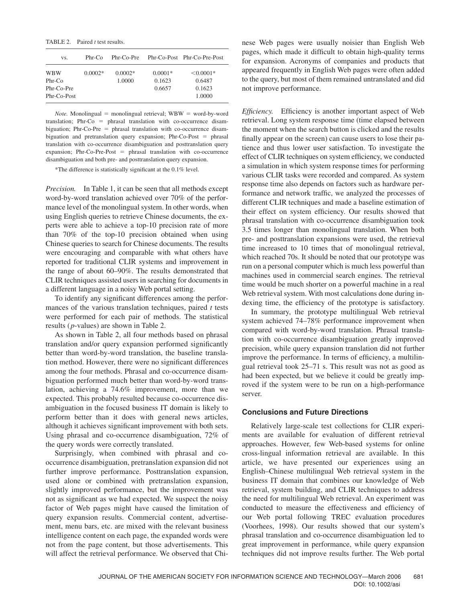TABLE 2. Paired *t* test results.

| VS.                                                   | $Phr$ -Co | $Phr$ -Co-Pre       |                               | Phr-Co-Post Phr-Co-Pre-Post               |
|-------------------------------------------------------|-----------|---------------------|-------------------------------|-------------------------------------------|
| <b>WBW</b><br>$Phr-C0$<br>Phr-Co-Pre<br>$Phr-Co-Post$ | $0.0002*$ | $0.0002*$<br>1.0000 | $0.0001*$<br>0.1623<br>0.6657 | $< 0.0001*$<br>0.6487<br>0.1623<br>1.0000 |

*Note.* Monolingual = monolingual retrieval;  $WBW = word-by-word$ translation;  $Phr-Co$  = phrasal translation with co-occurrence disambiguation; Phr-Co-Pre phrasal translation with co-occurrence disambiguation and pretranslation query expansion;  $Phr$ -Co-Post = phrasal translation with co-occurrence disambiguation and posttranslation query expansion; Phr-Co-Pre-Post  $=$  phrasal translation with co-occurrence disambiguation and both pre- and posttranslation query expansion.

\*The difference is statistically significant at the 0.1% level.

*Precision.* In Table 1, it can be seen that all methods except word-by-word translation achieved over 70% of the performance level of the monolingual system. In other words, when using English queries to retrieve Chinese documents, the experts were able to achieve a top-10 precision rate of more than 70% of the top-10 precision obtained when using Chinese queries to search for Chinese documents. The results were encouraging and comparable with what others have reported for traditional CLIR systems and improvement in the range of about 60–90%. The results demonstrated that CLIR techniques assisted users in searching for documents in a different language in a noisy Web portal setting.

To identify any significant differences among the performances of the various translation techniques, paired *t* tests were performed for each pair of methods. The statistical results (*p*-values) are shown in Table 2.

As shown in Table 2, all four methods based on phrasal translation and/or query expansion performed significantly better than word-by-word translation, the baseline translation method. However, there were no significant differences among the four methods. Phrasal and co-occurrence disambiguation performed much better than word-by-word translation, achieving a 74.6% improvement, more than we expected. This probably resulted because co-occurrence disambiguation in the focused business IT domain is likely to perform better than it does with general news articles, although it achieves significant improvement with both sets. Using phrasal and co-occurrence disambiguation, 72% of the query words were correctly translated.

Surprisingly, when combined with phrasal and cooccurrence disambiguation, pretranslation expansion did not further improve performance. Posttranslation expansion, used alone or combined with pretranslation expansion, slightly improved performance, but the improvement was not as significant as we had expected. We suspect the noisy factor of Web pages might have caused the limitation of query expansion results. Commercial content, advertisement, menu bars, etc. are mixed with the relevant business intelligence content on each page, the expanded words were not from the page content, but those advertisements. This will affect the retrieval performance. We observed that Chinese Web pages were usually noisier than English Web pages, which made it difficult to obtain high-quality terms for expansion. Acronyms of companies and products that appeared frequently in English Web pages were often added to the query, but most of them remained untranslated and did not improve performance.

*Efficiency.* Efficiency is another important aspect of Web retrieval. Long system response time (time elapsed between the moment when the search button is clicked and the results finally appear on the screen) can cause users to lose their patience and thus lower user satisfaction. To investigate the effect of CLIR techniques on system efficiency, we conducted a simulation in which system response times for performing various CLIR tasks were recorded and compared. As system response time also depends on factors such as hardware performance and network traffic, we analyzed the processes of different CLIR techniques and made a baseline estimation of their effect on system efficiency. Our results showed that phrasal translation with co-occurrence disambiguation took 3.5 times longer than monolingual translation. When both pre- and posttranslation expansions were used, the retrieval time increased to 10 times that of monolingual retrieval, which reached 70s. It should be noted that our prototype was run on a personal computer which is much less powerful than machines used in commercial search engines. The retrieval time would be much shorter on a powerful machine in a real Web retrieval system. With most calculations done during indexing time, the efficiency of the prototype is satisfactory.

In summary, the prototype multilingual Web retrieval system achieved 74–78% performance improvement when compared with word-by-word translation. Phrasal translation with co-occurrence disambiguation greatly improved precision, while query expansion translation did not further improve the performance. In terms of efficiency, a multilingual retrieval took 25–71 s. This result was not as good as had been expected, but we believe it could be greatly improved if the system were to be run on a high-performance server.

# **Conclusions and Future Directions**

Relatively large-scale test collections for CLIR experiments are available for evaluation of different retrieval approaches. However, few Web-based systems for online cross-lingual information retrieval are available. In this article, we have presented our experiences using an English–Chinese multilingual Web retrieval system in the business IT domain that combines our knowledge of Web retrieval, system building, and CLIR techniques to address the need for multilingual Web retrieval. An experiment was conducted to measure the effectiveness and efficiency of our Web portal following TREC evaluation procedures (Voorhees, 1998). Our results showed that our system's phrasal translation and co-occurrence disambiguation led to great improvement in performance, while query expansion techniques did not improve results further. The Web portal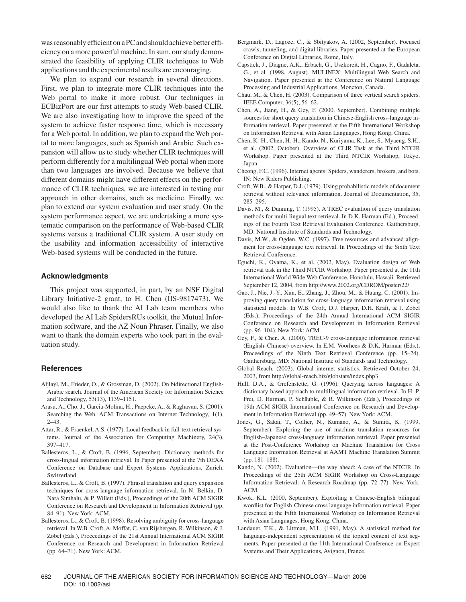was reasonably efficient on a PC and should achieve better efficiency on a more powerful machine. In sum, our study demonstrated the feasibility of applying CLIR techniques to Web applications and the experimental results are encouraging.

We plan to expand our research in several directions. First, we plan to integrate more CLIR techniques into the Web portal to make it more robust. Our techniques in ECBizPort are our first attempts to study Web-based CLIR. We are also investigating how to improve the speed of the system to achieve faster response time, which is necessary for a Web portal. In addition, we plan to expand the Web portal to more languages, such as Spanish and Arabic. Such expansion will allow us to study whether CLIR techniques will perform differently for a multilingual Web portal when more than two languages are involved. Because we believe that different domains might have different effects on the performance of CLIR techniques, we are interested in testing our approach in other domains, such as medicine. Finally, we plan to extend our system evaluation and user study. On the system performance aspect, we are undertaking a more systematic comparison on the performance of Web-based CLIR systems versus a traditional CLIR system. A user study on the usability and information accessibility of interactive Web-based systems will be conducted in the future.

## **Acknowledgments**

This project was supported, in part, by an NSF Digital Library Initiative-2 grant, to H. Chen (IIS-9817473). We would also like to thank the AI Lab team members who developed the AI Lab SpidersRUs toolkit, the Mutual Information software, and the AZ Noun Phraser. Finally, we also want to thank the domain experts who took part in the evaluation study.

## **References**

- Aljlayl, M., Frieder, O., & Grossman, D. (2002). On bidirectional English-Arabic search. Journal of the American Society for Information Science and Technology, 53(13), 1139–1151.
- Arasu, A., Cho, J., Garcia-Molina, H., Paepcke, A., & Raghavan, S. (2001). Searching the Web. ACM Transactions on Internet Technology, 1(1),  $2 - 43$ .
- Attar, R., & Fraenkel, A.S. (1977). Local feedback in full-text retrieval systems. Journal of the Association for Computing Machinery, 24(3), 397–417.
- Ballesteros, L., & Croft, B. (1996, September). Dictionary methods for cross-lingual information retrieval. In Paper presented at the 7th DEXA Conference on Database and Expert Systems Applications, Zurich, Switzerland.
- Ballesteros, L., & Croft, B. (1997). Phrasal translation and query expansion techniques for cross-language information retrieval. In N. Belkin, D. Nara Simhalu, & P. Willett (Eds.), Proceedings of the 20th ACM SIGIR Conference on Research and Development in Information Retrieval (pp. 84–91). New York: ACM.
- Ballesteros, L., & Croft, B. (1998). Resolving ambiguity for cross-language retrieval. In W.B. Croft, A. Moffat, C. van Rijsbergen, R. Wilkinson, & J. Zobel (Eds.), Proceedings of the 21st Annual International ACM SIGIR Conference on Research and Development in Information Retrieval (pp. 64–71). New York: ACM.
- Bergmark, D., Lagoze, C., & Sbityakov, A. (2002, September). Focused crawls, tunneling, and digital libraries. Paper presented at the European Conference on Digital Libraries, Rome, Italy.
- Capstick, J., Diagne, A.K., Erbach, G., Uszkoreit, H., Cagno, F., Gadaleta, G., et al. (1998, August). MULINEX: Multilingual Web Search and Navigation. Paper presented at the Conference on Natural Language Processing and Industrial Applications, Moncton, Canada.
- Chau, M., & Chen, H. (2003). Comparison of three vertical search spiders. IEEE Computer, 36(5), 56–62.
- Chen, A., Jiang, H., & Gey, F. (2000, September). Combining multiple sources for short query translation in Chinese-English cross-language information retrieval. Paper presented at the Fifth International Workshop on Information Retrieval with Asian Languages, Hong Kong, China.
- Chen, K.-H., Chen, H.-H., Kando, N., Kuriyama, K., Lee, S., Myaeng, S.H., et al. (2002, October). Overview of CLIR Task at the Third NTCIR Workshop. Paper presented at the Third NTCIR Workshop, Tokyo, Japan.
- Cheong, F.C. (1996). Internet agents: Spiders, wanderers, brokers, and bots. IN: New Riders Publishing.
- Croft, W.B., & Harper, D.J. (1979). Using probabilistic models of document retrieval without relevance information. Journal of Documentation, 35, 285–295.
- Davis, M., & Dunning, T. (1995). A TREC evaluation of query translation methods for multi-lingual text retrieval. In D.K. Harman (Ed.), Proceedings of the Fourth Text Retrieval Evaluation Conference. Gaithersburg, MD: National Institute of Standards and Technology.
- Davis, M.W., & Ogden, W.C. (1997). Free resources and advanced alignment for cross-language text retrieval. In Proceedings of the Sixth Text Retrieval Conference.
- Eguchi, K., Oyama, K., et al. (2002, May). Evaluation design of Web retrieval task in the Third NTCIR Workshop. Paper presented at the 11th International World Wide Web Conference, Honolulu, Hawaii. Retrieved September 12, 2004, from http://www.2002.org/CDROM/poster/22/
- Gao, J., Nie, J.-Y., Xun, E., Zhang, J., Zhou, M., & Huang, C. (2001). Improving query translation for cross-language information retrieval using statistical models. In W.B. Croft, D.J. Harper, D.H. Kraft, & J. Zobel (Eds.), Proceedings of the 24th Annual International ACM SIGIR Conference on Research and Development in Information Retrieval (pp. 96–104). New York: ACM.
- Gey, F., & Chen. A. (2000). TREC-9 cross-language information retrieval (English–Chinese) overview. In E.M. Voorhees & D.K. Harman (Eds.), Proceedings of the Ninth Text Retrieval Conference (pp. 15–24). Gaithersburg, MD: National Institute of Standards and Technology.
- Global Reach. (2003). Global internet statistics. Retrieved October 24, 2003, from http://global-reach.biz/globstats/index.php3
- Hull, D.A., & Grefenstette, G. (1996). Querying across languages: A dictionary-based approach to multilingual information retrieval. In H.-P. Frei, D. Harman, P. Schäuble, & R. Wilkinson (Eds.), Proceedings of 19th ACM SIGIR International Conference on Research and Development in Information Retrieval (pp. 49–57). New York: ACM.
- Jones, G., Sakai, T., Collier, N., Kumano, A., & Sumita, K. (1999, September). Exploring the use of machine translation resources for English–Japanese cross-language information retrieval. Paper presented at the Post-Conference Workshop on Machine Translation for Cross Language Information Retrieval at AAMT Machine Translation Summit (pp. 181–188).
- Kando, N. (2002). Evaluation—the way ahead: A case of the NTCIR. In Proceedings of the 25th ACM SIGIR Workshop on Cross-Language Information Retrieval: A Research Roadmap (pp. 72–77). New York: ACM.
- Kwok, K.L. (2000, September). Exploiting a Chinese-English bilingual wordlist for English-Chinese cross language information retrieval. Paper presented at the Fifth International Workshop on Information Retrieval with Asian Languages, Hong Kong, China.
- Landauer, T.K., & Littman, M.L. (1991, May). A statistical method for language-independent representation of the topical content of text segments. Paper presented at the 11th International Conference on Expert Systems and Their Applications, Avignon, France.